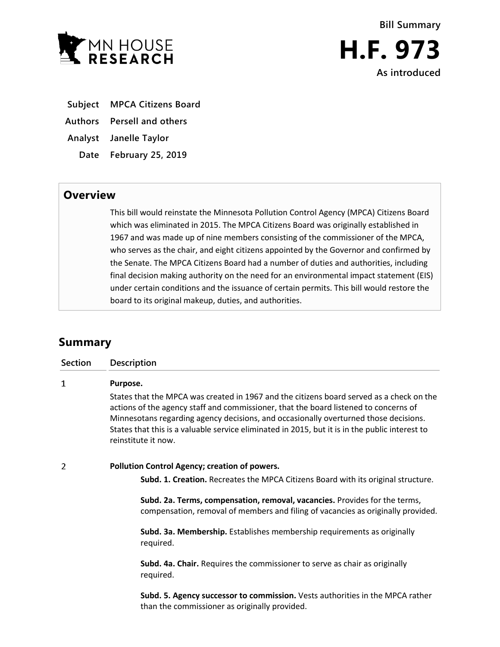



- **Subject MPCA Citizens Board**
- **Authors Persell and others**
- **Analyst Janelle Taylor**
	- **Date February 25, 2019**

## **Overview**

This bill would reinstate the Minnesota Pollution Control Agency (MPCA) Citizens Board which was eliminated in 2015. The MPCA Citizens Board was originally established in 1967 and was made up of nine members consisting of the commissioner of the MPCA, who serves as the chair, and eight citizens appointed by the Governor and confirmed by the Senate. The MPCA Citizens Board had a number of duties and authorities, including final decision making authority on the need for an environmental impact statement (EIS) under certain conditions and the issuance of certain permits. This bill would restore the board to its original makeup, duties, and authorities.

# **Summary**

| <b>Section</b> | Description                                                                                                                                                                                                                                                                                                                                                                                       |
|----------------|---------------------------------------------------------------------------------------------------------------------------------------------------------------------------------------------------------------------------------------------------------------------------------------------------------------------------------------------------------------------------------------------------|
| 1              | Purpose.                                                                                                                                                                                                                                                                                                                                                                                          |
|                | States that the MPCA was created in 1967 and the citizens board served as a check on the<br>actions of the agency staff and commissioner, that the board listened to concerns of<br>Minnesotans regarding agency decisions, and occasionally overturned those decisions.<br>States that this is a valuable service eliminated in 2015, but it is in the public interest to<br>reinstitute it now. |
| 2              | Pollution Control Agency; creation of powers.                                                                                                                                                                                                                                                                                                                                                     |
|                | Subd. 1. Creation. Recreates the MPCA Citizens Board with its original structure.                                                                                                                                                                                                                                                                                                                 |
|                | Subd. 2a. Terms, compensation, removal, vacancies. Provides for the terms,<br>compensation, removal of members and filing of vacancies as originally provided.                                                                                                                                                                                                                                    |
|                | Subd. 3a. Membership. Establishes membership requirements as originally<br>required.                                                                                                                                                                                                                                                                                                              |
|                | Subd. 4a. Chair. Requires the commissioner to serve as chair as originally<br>required.                                                                                                                                                                                                                                                                                                           |
|                | Subd. 5. Agency successor to commission. Vests authorities in the MPCA rather<br>than the commissioner as originally provided.                                                                                                                                                                                                                                                                    |